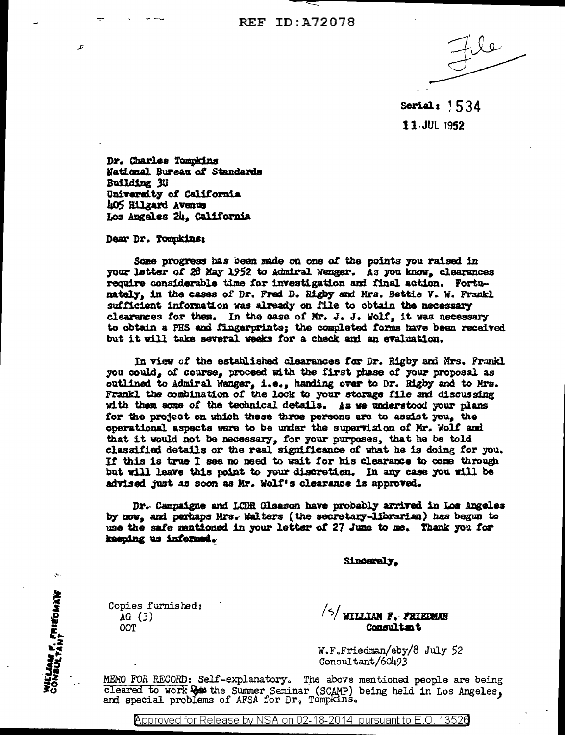**REF ID: A72078** 

Serial:  $1534$ 11.JUL 1952

Dr. Charles Tompkins National Bureau of Standards Building 3U University of California 405 Hilgard Avenue Los Angeles 24, California

Dear Dr. Tompkins:

ع

Some progress has been made on one of the points you raised in your letter of 28 May 1952 to Admiral Wenger. As you know, clearances require considerable time for investigation and final action. Fortunately, in the cases of Dr. Fred D. Rigby and Mrs. Bettie V. W. Frankl sufficient information was already on file to obtain the necessary clearances for them. In the case of Mr. J. J. Wolf, it was necessary to obtain a PHS and fingerprints; the completed forms have been received but it will take several weeks for a check and an evaluation.

In view of the established clearances for Dr. Rigby and Mrs. Frankl you could, of course, proceed with the first phase of your proposal as outlined to Admiral Wenger, i.e., handing over to Dr. Rigby and to Mrs. Frankl the combination of the lock to your storage file and discussing with them some of the technical details. As we understood your plans for the project on which these three persons are to assist you, the operational aspects were to be under the supervision of Mr. Wolf and that it would not be necessary, for your purposes, that he be told classified details or the real significance of what he is doing for you. If this is true I see no need to wait for his clearance to come through but will leave this point to your discretion. In any case you will be advised just as soon as Mr. Wolf's clearance is approved.

Dr. Campaigne and LCDR Gleason have probably arrived in Los Angeles by now, and perhaps Mrs. Walters (the secretary-librarian) has begun to use the safe mentioned in your letter of 27 June to me. Thank you for keeping us informed.

Sincerely,

Copies furnished:  $AG(3)$ OOT

٠م)

WILLIAM F. FRIEDMAN<br>CONSULTANT

/5/ WILLIAM P. FRIEDMAN **Consultant** 

W.F.Friedman/eby/8 July 52 Consultant/60493

MEMO FOR RECORD: Self-explanatory. The above mentioned people are being cleared to work as the Summer Seminar (SCAMP) being held in Los Angeles, and special problems of AFSA for Dr, Tompkins.